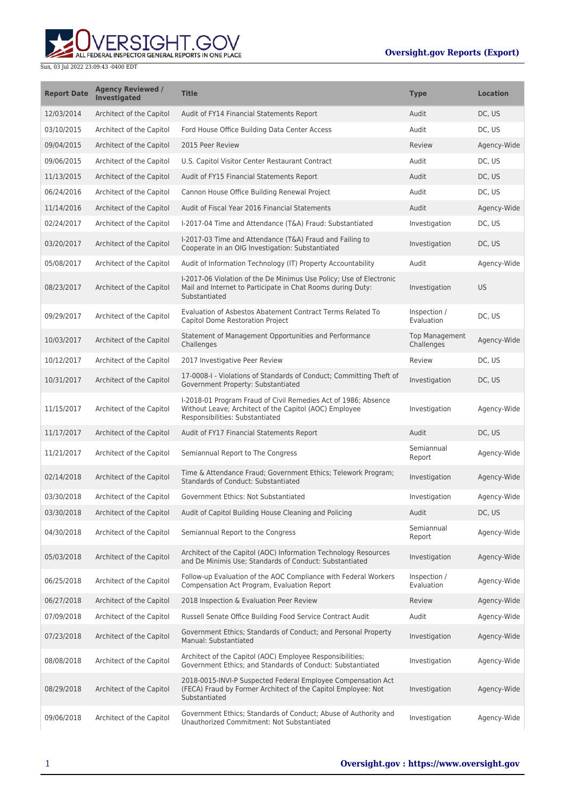## ALL FEDERAL INSPECTOR GENERAL REPORTS IN ONE PLACE

| <b>Report Date</b> | <b>Agency Reviewed /</b><br>Investigated | <b>Title</b>                                                                                                                                                | <b>Type</b>                         | <b>Location</b> |
|--------------------|------------------------------------------|-------------------------------------------------------------------------------------------------------------------------------------------------------------|-------------------------------------|-----------------|
| 12/03/2014         | Architect of the Capitol                 | Audit of FY14 Financial Statements Report                                                                                                                   | Audit                               | DC. US          |
| 03/10/2015         | Architect of the Capitol                 | Ford House Office Building Data Center Access                                                                                                               | Audit                               | DC, US          |
| 09/04/2015         | Architect of the Capitol                 | 2015 Peer Review                                                                                                                                            | Review                              | Agency-Wide     |
| 09/06/2015         | Architect of the Capitol                 | U.S. Capitol Visitor Center Restaurant Contract                                                                                                             | Audit                               | DC, US          |
| 11/13/2015         | Architect of the Capitol                 | Audit of FY15 Financial Statements Report                                                                                                                   | Audit                               | DC, US          |
| 06/24/2016         | Architect of the Capitol                 | Cannon House Office Building Renewal Project                                                                                                                | Audit                               | DC, US          |
| 11/14/2016         | Architect of the Capitol                 | Audit of Fiscal Year 2016 Financial Statements                                                                                                              | Audit                               | Agency-Wide     |
| 02/24/2017         | Architect of the Capitol                 | I-2017-04 Time and Attendance (T&A) Fraud: Substantiated                                                                                                    | Investigation                       | DC, US          |
| 03/20/2017         | Architect of the Capitol                 | I-2017-03 Time and Attendance (T&A) Fraud and Failing to<br>Cooperate in an OIG Investigation: Substantiated                                                | Investigation                       | DC, US          |
| 05/08/2017         | Architect of the Capitol                 | Audit of Information Technology (IT) Property Accountability                                                                                                | Audit                               | Agency-Wide     |
| 08/23/2017         | Architect of the Capitol                 | I-2017-06 Violation of the De Minimus Use Policy; Use of Electronic<br>Mail and Internet to Participate in Chat Rooms during Duty:<br>Substantiated         | Investigation                       | <b>US</b>       |
| 09/29/2017         | Architect of the Capitol                 | Evaluation of Asbestos Abatement Contract Terms Related To<br>Capitol Dome Restoration Project                                                              | Inspection /<br>Evaluation          | DC, US          |
| 10/03/2017         | Architect of the Capitol                 | Statement of Management Opportunities and Performance<br>Challenges                                                                                         | <b>Top Management</b><br>Challenges | Agency-Wide     |
| 10/12/2017         | Architect of the Capitol                 | 2017 Investigative Peer Review                                                                                                                              | Review                              | DC, US          |
| 10/31/2017         | Architect of the Capitol                 | 17-0008-I - Violations of Standards of Conduct; Committing Theft of<br>Government Property: Substantiated                                                   | Investigation                       | DC, US          |
| 11/15/2017         | Architect of the Capitol                 | I-2018-01 Program Fraud of Civil Remedies Act of 1986; Absence<br>Without Leave; Architect of the Capitol (AOC) Employee<br>Responsibilities: Substantiated | Investigation                       | Agency-Wide     |
| 11/17/2017         | Architect of the Capitol                 | Audit of FY17 Financial Statements Report                                                                                                                   | Audit                               | DC, US          |
| 11/21/2017         | Architect of the Capitol                 | Semiannual Report to The Congress                                                                                                                           | Semiannual<br>Report                | Agency-Wide     |
| 02/14/2018         | Architect of the Capitol                 | Time & Attendance Fraud; Government Ethics; Telework Program;<br>Standards of Conduct: Substantiated                                                        | Investigation                       | Agency-Wide     |
| 03/30/2018         | Architect of the Capitol                 | Government Ethics: Not Substantiated                                                                                                                        | Investigation                       | Agency-Wide     |
| 03/30/2018         | Architect of the Capitol                 | Audit of Capitol Building House Cleaning and Policing                                                                                                       | Audit                               | DC, US          |
| 04/30/2018         | Architect of the Capitol                 | Semiannual Report to the Congress                                                                                                                           | Semiannual<br>Report                | Agency-Wide     |
| 05/03/2018         | Architect of the Capitol                 | Architect of the Capitol (AOC) Information Technology Resources<br>and De Minimis Use; Standards of Conduct: Substantiated                                  | Investigation                       | Agency-Wide     |
| 06/25/2018         | Architect of the Capitol                 | Follow-up Evaluation of the AOC Compliance with Federal Workers<br>Compensation Act Program, Evaluation Report                                              | Inspection /<br>Evaluation          | Agency-Wide     |
| 06/27/2018         | Architect of the Capitol                 | 2018 Inspection & Evaluation Peer Review                                                                                                                    | Review                              | Agency-Wide     |
| 07/09/2018         | Architect of the Capitol                 | Russell Senate Office Building Food Service Contract Audit                                                                                                  | Audit                               | Agency-Wide     |
| 07/23/2018         | Architect of the Capitol                 | Government Ethics; Standards of Conduct; and Personal Property<br>Manual: Substantiated                                                                     | Investigation                       | Agency-Wide     |
| 08/08/2018         | Architect of the Capitol                 | Architect of the Capitol (AOC) Employee Responsibilities;<br>Government Ethics; and Standards of Conduct: Substantiated                                     | Investigation                       | Agency-Wide     |
| 08/29/2018         | Architect of the Capitol                 | 2018-0015-INVI-P Suspected Federal Employee Compensation Act<br>(FECA) Fraud by Former Architect of the Capitol Employee: Not<br>Substantiated              | Investigation                       | Agency-Wide     |
| 09/06/2018         | Architect of the Capitol                 | Government Ethics; Standards of Conduct; Abuse of Authority and<br>Unauthorized Commitment: Not Substantiated                                               | Investigation                       | Agency-Wide     |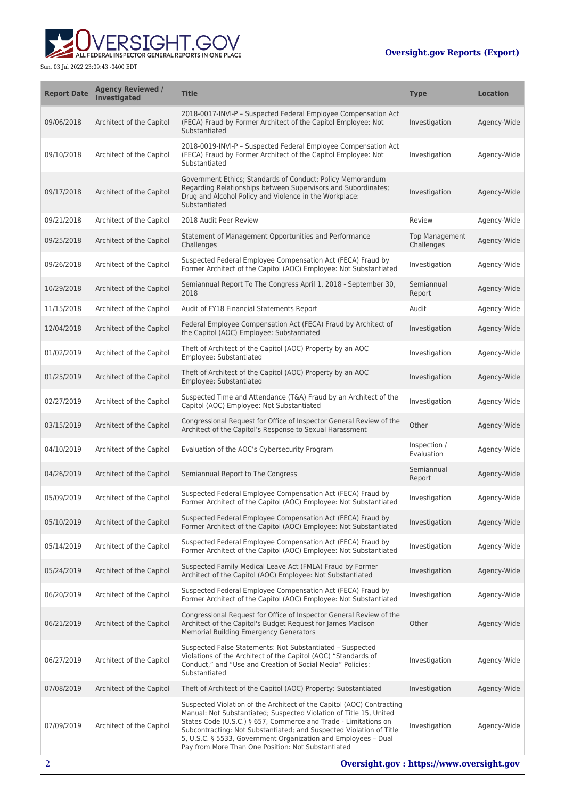## **Oversight.gov Reports (Export)**



| <b>Report Date</b> | <b>Agency Reviewed /</b><br><b>Investigated</b> | <b>Title</b>                                                                                                                                                                                                                                                                                                                                                                                                  | <b>Type</b>                         | <b>Location</b> |
|--------------------|-------------------------------------------------|---------------------------------------------------------------------------------------------------------------------------------------------------------------------------------------------------------------------------------------------------------------------------------------------------------------------------------------------------------------------------------------------------------------|-------------------------------------|-----------------|
| 09/06/2018         | Architect of the Capitol                        | 2018-0017-INVI-P - Suspected Federal Employee Compensation Act<br>(FECA) Fraud by Former Architect of the Capitol Employee: Not<br>Substantiated                                                                                                                                                                                                                                                              | Investigation                       | Agency-Wide     |
| 09/10/2018         | Architect of the Capitol                        | 2018-0019-INVI-P - Suspected Federal Employee Compensation Act<br>(FECA) Fraud by Former Architect of the Capitol Employee: Not<br>Substantiated                                                                                                                                                                                                                                                              | Investigation                       | Agency-Wide     |
| 09/17/2018         | Architect of the Capitol                        | Government Ethics; Standards of Conduct; Policy Memorandum<br>Regarding Relationships between Supervisors and Subordinates;<br>Drug and Alcohol Policy and Violence in the Workplace:<br>Substantiated                                                                                                                                                                                                        | Investigation                       | Agency-Wide     |
| 09/21/2018         | Architect of the Capitol                        | 2018 Audit Peer Review                                                                                                                                                                                                                                                                                                                                                                                        | Review                              | Agency-Wide     |
| 09/25/2018         | Architect of the Capitol                        | Statement of Management Opportunities and Performance<br>Challenges                                                                                                                                                                                                                                                                                                                                           | <b>Top Management</b><br>Challenges | Agency-Wide     |
| 09/26/2018         | Architect of the Capitol                        | Suspected Federal Employee Compensation Act (FECA) Fraud by<br>Former Architect of the Capitol (AOC) Employee: Not Substantiated                                                                                                                                                                                                                                                                              | Investigation                       | Agency-Wide     |
| 10/29/2018         | Architect of the Capitol                        | Semiannual Report To The Congress April 1, 2018 - September 30,<br>2018                                                                                                                                                                                                                                                                                                                                       | Semiannual<br>Report                | Agency-Wide     |
| 11/15/2018         | Architect of the Capitol                        | Audit of FY18 Financial Statements Report                                                                                                                                                                                                                                                                                                                                                                     | Audit                               | Agency-Wide     |
| 12/04/2018         | Architect of the Capitol                        | Federal Employee Compensation Act (FECA) Fraud by Architect of<br>the Capitol (AOC) Employee: Substantiated                                                                                                                                                                                                                                                                                                   | Investigation                       | Agency-Wide     |
| 01/02/2019         | Architect of the Capitol                        | Theft of Architect of the Capitol (AOC) Property by an AOC<br>Employee: Substantiated                                                                                                                                                                                                                                                                                                                         | Investigation                       | Agency-Wide     |
| 01/25/2019         | Architect of the Capitol                        | Theft of Architect of the Capitol (AOC) Property by an AOC<br>Employee: Substantiated                                                                                                                                                                                                                                                                                                                         | Investigation                       | Agency-Wide     |
| 02/27/2019         | Architect of the Capitol                        | Suspected Time and Attendance (T&A) Fraud by an Architect of the<br>Capitol (AOC) Employee: Not Substantiated                                                                                                                                                                                                                                                                                                 | Investigation                       | Agency-Wide     |
| 03/15/2019         | Architect of the Capitol                        | Congressional Request for Office of Inspector General Review of the<br>Architect of the Capitol's Response to Sexual Harassment                                                                                                                                                                                                                                                                               | Other                               | Agency-Wide     |
| 04/10/2019         | Architect of the Capitol                        | Evaluation of the AOC's Cybersecurity Program                                                                                                                                                                                                                                                                                                                                                                 | Inspection /<br>Evaluation          | Agency-Wide     |
| 04/26/2019         | Architect of the Capitol                        | Semiannual Report to The Congress                                                                                                                                                                                                                                                                                                                                                                             | Semiannual<br>Report                | Agency-Wide     |
| 05/09/2019         | Architect of the Capitol                        | Suspected Federal Employee Compensation Act (FECA) Fraud by<br>Former Architect of the Capitol (AOC) Employee: Not Substantiated                                                                                                                                                                                                                                                                              | Investigation                       | Agency-Wide     |
| 05/10/2019         | Architect of the Capitol                        | Suspected Federal Employee Compensation Act (FECA) Fraud by<br>Former Architect of the Capitol (AOC) Employee: Not Substantiated                                                                                                                                                                                                                                                                              | Investigation                       | Agency-Wide     |
| 05/14/2019         | Architect of the Capitol                        | Suspected Federal Employee Compensation Act (FECA) Fraud by<br>Former Architect of the Capitol (AOC) Employee: Not Substantiated                                                                                                                                                                                                                                                                              | Investigation                       | Agency-Wide     |
| 05/24/2019         | Architect of the Capitol                        | Suspected Family Medical Leave Act (FMLA) Fraud by Former<br>Architect of the Capitol (AOC) Employee: Not Substantiated                                                                                                                                                                                                                                                                                       | Investigation                       | Agency-Wide     |
| 06/20/2019         | Architect of the Capitol                        | Suspected Federal Employee Compensation Act (FECA) Fraud by<br>Former Architect of the Capitol (AOC) Employee: Not Substantiated                                                                                                                                                                                                                                                                              | Investigation                       | Agency-Wide     |
| 06/21/2019         | Architect of the Capitol                        | Congressional Request for Office of Inspector General Review of the<br>Architect of the Capitol's Budget Request for James Madison<br><b>Memorial Building Emergency Generators</b>                                                                                                                                                                                                                           | Other                               | Agency-Wide     |
| 06/27/2019         | Architect of the Capitol                        | Suspected False Statements: Not Substantiated - Suspected<br>Violations of the Architect of the Capitol (AOC) "Standards of<br>Conduct," and "Use and Creation of Social Media" Policies:<br>Substantiated                                                                                                                                                                                                    | Investigation                       | Agency-Wide     |
| 07/08/2019         | Architect of the Capitol                        | Theft of Architect of the Capitol (AOC) Property: Substantiated                                                                                                                                                                                                                                                                                                                                               | Investigation                       | Agency-Wide     |
| 07/09/2019         | Architect of the Capitol                        | Suspected Violation of the Architect of the Capitol (AOC) Contracting<br>Manual: Not Substantiated; Suspected Violation of Title 15, United<br>States Code (U.S.C.) § 657, Commerce and Trade - Limitations on<br>Subcontracting: Not Substantiated; and Suspected Violation of Title<br>5, U.S.C. § 5533, Government Organization and Employees - Dual<br>Pay from More Than One Position: Not Substantiated | Investigation                       | Agency-Wide     |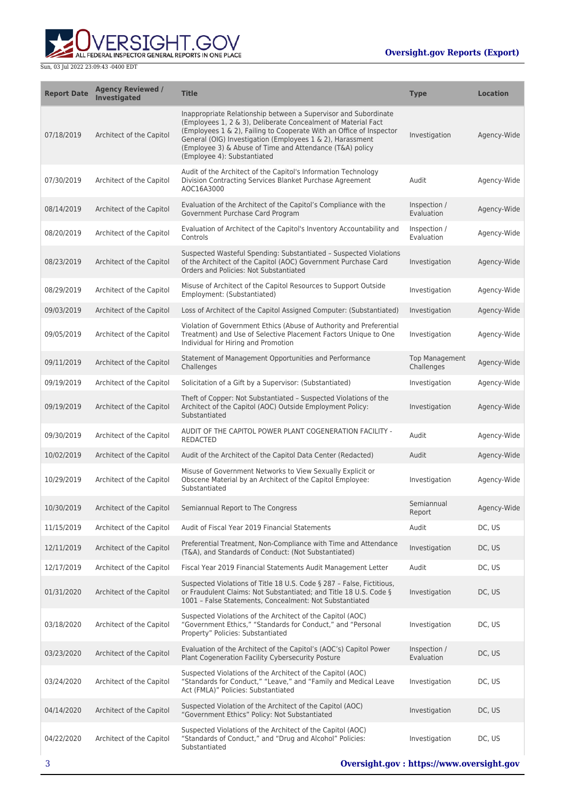

| <b>Report Date</b> | <b>Agency Reviewed /</b><br><b>Investigated</b> | <b>Title</b>                                                                                                                                                                                                                                                                                                                                                    | <b>Type</b>                         | <b>Location</b> |
|--------------------|-------------------------------------------------|-----------------------------------------------------------------------------------------------------------------------------------------------------------------------------------------------------------------------------------------------------------------------------------------------------------------------------------------------------------------|-------------------------------------|-----------------|
| 07/18/2019         | Architect of the Capitol                        | Inappropriate Relationship between a Supervisor and Subordinate<br>(Employees 1, 2 & 3), Deliberate Concealment of Material Fact<br>(Employees 1 & 2), Failing to Cooperate With an Office of Inspector<br>General (OIG) Investigation (Employees 1 & 2), Harassment<br>(Employee 3) & Abuse of Time and Attendance (T&A) policy<br>(Employee 4): Substantiated | Investigation                       | Agency-Wide     |
| 07/30/2019         | Architect of the Capitol                        | Audit of the Architect of the Capitol's Information Technology<br>Division Contracting Services Blanket Purchase Agreement<br>AOC16A3000                                                                                                                                                                                                                        | Audit                               | Agency-Wide     |
| 08/14/2019         | Architect of the Capitol                        | Evaluation of the Architect of the Capitol's Compliance with the<br>Government Purchase Card Program                                                                                                                                                                                                                                                            | Inspection /<br>Evaluation          | Agency-Wide     |
| 08/20/2019         | Architect of the Capitol                        | Evaluation of Architect of the Capitol's Inventory Accountability and<br>Controls                                                                                                                                                                                                                                                                               | Inspection /<br>Evaluation          | Agency-Wide     |
| 08/23/2019         | Architect of the Capitol                        | Suspected Wasteful Spending: Substantiated - Suspected Violations<br>of the Architect of the Capitol (AOC) Government Purchase Card<br>Orders and Policies: Not Substantiated                                                                                                                                                                                   | Investigation                       | Agency-Wide     |
| 08/29/2019         | Architect of the Capitol                        | Misuse of Architect of the Capitol Resources to Support Outside<br>Employment: (Substantiated)                                                                                                                                                                                                                                                                  | Investigation                       | Agency-Wide     |
| 09/03/2019         | Architect of the Capitol                        | Loss of Architect of the Capitol Assigned Computer: (Substantiated)                                                                                                                                                                                                                                                                                             | Investigation                       | Agency-Wide     |
| 09/05/2019         | Architect of the Capitol                        | Violation of Government Ethics (Abuse of Authority and Preferential<br>Treatment) and Use of Selective Placement Factors Unique to One<br>Individual for Hiring and Promotion                                                                                                                                                                                   | Investigation                       | Agency-Wide     |
| 09/11/2019         | Architect of the Capitol                        | Statement of Management Opportunities and Performance<br>Challenges                                                                                                                                                                                                                                                                                             | <b>Top Management</b><br>Challenges | Agency-Wide     |
| 09/19/2019         | Architect of the Capitol                        | Solicitation of a Gift by a Supervisor: (Substantiated)                                                                                                                                                                                                                                                                                                         | Investigation                       | Agency-Wide     |
| 09/19/2019         | Architect of the Capitol                        | Theft of Copper: Not Substantiated - Suspected Violations of the<br>Architect of the Capitol (AOC) Outside Employment Policy:<br>Substantiated                                                                                                                                                                                                                  | Investigation                       | Agency-Wide     |
| 09/30/2019         | Architect of the Capitol                        | AUDIT OF THE CAPITOL POWER PLANT COGENERATION FACILITY -<br><b>REDACTED</b>                                                                                                                                                                                                                                                                                     | Audit                               | Agency-Wide     |
| 10/02/2019         | Architect of the Capitol                        | Audit of the Architect of the Capitol Data Center (Redacted)                                                                                                                                                                                                                                                                                                    | Audit                               | Agency-Wide     |
| 10/29/2019         | Architect of the Capitol                        | Misuse of Government Networks to View Sexually Explicit or<br>Obscene Material by an Architect of the Capitol Employee:<br>Substantiated                                                                                                                                                                                                                        | Investigation                       | Agency-Wide     |
| 10/30/2019         | Architect of the Capitol                        | Semiannual Report to The Congress                                                                                                                                                                                                                                                                                                                               | Semiannual<br>Report                | Agency-Wide     |
| 11/15/2019         | Architect of the Capitol                        | Audit of Fiscal Year 2019 Financial Statements                                                                                                                                                                                                                                                                                                                  | Audit                               | DC, US          |
| 12/11/2019         | Architect of the Capitol                        | Preferential Treatment, Non-Compliance with Time and Attendance<br>(T&A), and Standards of Conduct: (Not Substantiated)                                                                                                                                                                                                                                         | Investigation                       | DC, US          |
| 12/17/2019         | Architect of the Capitol                        | Fiscal Year 2019 Financial Statements Audit Management Letter                                                                                                                                                                                                                                                                                                   | Audit                               | DC, US          |
| 01/31/2020         | Architect of the Capitol                        | Suspected Violations of Title 18 U.S. Code § 287 - False, Fictitious,<br>or Fraudulent Claims: Not Substantiated; and Title 18 U.S. Code §<br>1001 - False Statements, Concealment: Not Substantiated                                                                                                                                                           | Investigation                       | DC, US          |
| 03/18/2020         | Architect of the Capitol                        | Suspected Violations of the Architect of the Capitol (AOC)<br>"Government Ethics," "Standards for Conduct," and "Personal<br>Property" Policies: Substantiated                                                                                                                                                                                                  | Investigation                       | DC, US          |
| 03/23/2020         | Architect of the Capitol                        | Evaluation of the Architect of the Capitol's (AOC's) Capitol Power<br>Plant Cogeneration Facility Cybersecurity Posture                                                                                                                                                                                                                                         | Inspection /<br>Evaluation          | DC, US          |
| 03/24/2020         | Architect of the Capitol                        | Suspected Violations of the Architect of the Capitol (AOC)<br>"Standards for Conduct," "Leave," and "Family and Medical Leave<br>Act (FMLA)" Policies: Substantiated                                                                                                                                                                                            | Investigation                       | DC, US          |
| 04/14/2020         | Architect of the Capitol                        | Suspected Violation of the Architect of the Capitol (AOC)<br>"Government Ethics" Policy: Not Substantiated                                                                                                                                                                                                                                                      | Investigation                       | DC, US          |
| 04/22/2020         | Architect of the Capitol                        | Suspected Violations of the Architect of the Capitol (AOC)<br>"Standards of Conduct," and "Drug and Alcohol" Policies:<br>Substantiated                                                                                                                                                                                                                         | Investigation                       | DC, US          |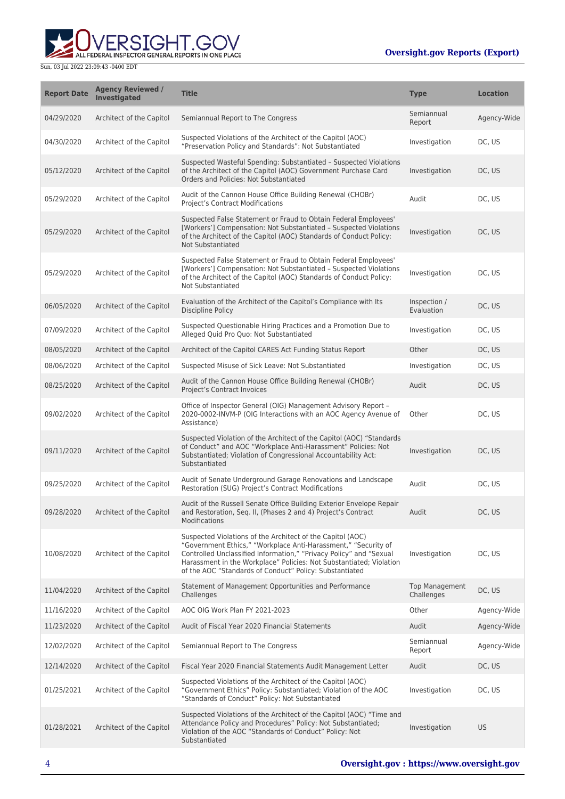## **Oversight.gov Reports (Export)**



| <b>Report Date</b> | <b>Agency Reviewed /</b><br>Investigated | <b>Title</b>                                                                                                                                                                                                                                                                                                                         | <b>Type</b>                         | <b>Location</b> |
|--------------------|------------------------------------------|--------------------------------------------------------------------------------------------------------------------------------------------------------------------------------------------------------------------------------------------------------------------------------------------------------------------------------------|-------------------------------------|-----------------|
| 04/29/2020         | Architect of the Capitol                 | Semiannual Report to The Congress                                                                                                                                                                                                                                                                                                    | Semiannual<br>Report                | Agency-Wide     |
| 04/30/2020         | Architect of the Capitol                 | Suspected Violations of the Architect of the Capitol (AOC)<br>"Preservation Policy and Standards": Not Substantiated                                                                                                                                                                                                                 | Investigation                       | DC, US          |
| 05/12/2020         | Architect of the Capitol                 | Suspected Wasteful Spending: Substantiated - Suspected Violations<br>of the Architect of the Capitol (AOC) Government Purchase Card<br>Orders and Policies: Not Substantiated                                                                                                                                                        | Investigation                       | DC, US          |
| 05/29/2020         | Architect of the Capitol                 | Audit of the Cannon House Office Building Renewal (CHOBr)<br><b>Project's Contract Modifications</b>                                                                                                                                                                                                                                 | Audit                               | DC, US          |
| 05/29/2020         | Architect of the Capitol                 | Suspected False Statement or Fraud to Obtain Federal Employees'<br>[Workers'] Compensation: Not Substantiated - Suspected Violations<br>of the Architect of the Capitol (AOC) Standards of Conduct Policy:<br>Not Substantiated                                                                                                      | Investigation                       | DC, US          |
| 05/29/2020         | Architect of the Capitol                 | Suspected False Statement or Fraud to Obtain Federal Employees'<br>[Workers'] Compensation: Not Substantiated - Suspected Violations<br>of the Architect of the Capitol (AOC) Standards of Conduct Policy:<br>Not Substantiated                                                                                                      | Investigation                       | DC, US          |
| 06/05/2020         | Architect of the Capitol                 | Evaluation of the Architect of the Capitol's Compliance with Its<br><b>Discipline Policy</b>                                                                                                                                                                                                                                         | Inspection /<br>Evaluation          | DC, US          |
| 07/09/2020         | Architect of the Capitol                 | Suspected Questionable Hiring Practices and a Promotion Due to<br>Alleged Quid Pro Quo: Not Substantiated                                                                                                                                                                                                                            | Investigation                       | DC, US          |
| 08/05/2020         | Architect of the Capitol                 | Architect of the Capitol CARES Act Funding Status Report                                                                                                                                                                                                                                                                             | Other                               | DC, US          |
| 08/06/2020         | Architect of the Capitol                 | Suspected Misuse of Sick Leave: Not Substantiated                                                                                                                                                                                                                                                                                    | Investigation                       | DC, US          |
| 08/25/2020         | Architect of the Capitol                 | Audit of the Cannon House Office Building Renewal (CHOBr)<br>Project's Contract Invoices                                                                                                                                                                                                                                             | Audit                               | DC, US          |
| 09/02/2020         | Architect of the Capitol                 | Office of Inspector General (OIG) Management Advisory Report -<br>2020-0002-INVM-P (OIG Interactions with an AOC Agency Avenue of<br>Assistance)                                                                                                                                                                                     | Other                               | DC, US          |
| 09/11/2020         | Architect of the Capitol                 | Suspected Violation of the Architect of the Capitol (AOC) "Standards<br>of Conduct" and AOC "Workplace Anti-Harassment" Policies: Not<br>Substantiated; Violation of Congressional Accountability Act:<br>Substantiated                                                                                                              | Investigation                       | DC, US          |
| 09/25/2020         | Architect of the Capitol                 | Audit of Senate Underground Garage Renovations and Landscape<br>Restoration (SUG) Project's Contract Modifications                                                                                                                                                                                                                   | Audit                               | DC, US          |
| 09/28/2020         | Architect of the Capitol                 | Audit of the Russell Senate Office Building Exterior Envelope Repair<br>and Restoration, Seq. II, (Phases 2 and 4) Project's Contract<br>Modifications                                                                                                                                                                               | Audit                               | DC, US          |
| 10/08/2020         | Architect of the Capitol                 | Suspected Violations of the Architect of the Capitol (AOC)<br>"Government Ethics," "Workplace Anti-Harassment," "Security of<br>Controlled Unclassified Information," "Privacy Policy" and "Sexual<br>Harassment in the Workplace" Policies: Not Substantiated; Violation<br>of the AOC "Standards of Conduct" Policy: Substantiated | Investigation                       | DC, US          |
| 11/04/2020         | Architect of the Capitol                 | Statement of Management Opportunities and Performance<br>Challenges                                                                                                                                                                                                                                                                  | <b>Top Management</b><br>Challenges | DC, US          |
| 11/16/2020         | Architect of the Capitol                 | AOC OIG Work Plan FY 2021-2023                                                                                                                                                                                                                                                                                                       | Other                               | Agency-Wide     |
| 11/23/2020         | Architect of the Capitol                 | Audit of Fiscal Year 2020 Financial Statements                                                                                                                                                                                                                                                                                       | Audit                               | Agency-Wide     |
| 12/02/2020         | Architect of the Capitol                 | Semiannual Report to The Congress                                                                                                                                                                                                                                                                                                    | Semiannual<br>Report                | Agency-Wide     |
| 12/14/2020         | Architect of the Capitol                 | Fiscal Year 2020 Financial Statements Audit Management Letter                                                                                                                                                                                                                                                                        | Audit                               | DC, US          |
| 01/25/2021         | Architect of the Capitol                 | Suspected Violations of the Architect of the Capitol (AOC)<br>"Government Ethics" Policy: Substantiated; Violation of the AOC<br>"Standards of Conduct" Policy: Not Substantiated                                                                                                                                                    | Investigation                       | DC, US          |
| 01/28/2021         | Architect of the Capitol                 | Suspected Violations of the Architect of the Capitol (AOC) "Time and<br>Attendance Policy and Procedures" Policy: Not Substantiated;<br>Violation of the AOC "Standards of Conduct" Policy: Not<br>Substantiated                                                                                                                     | Investigation                       | <b>US</b>       |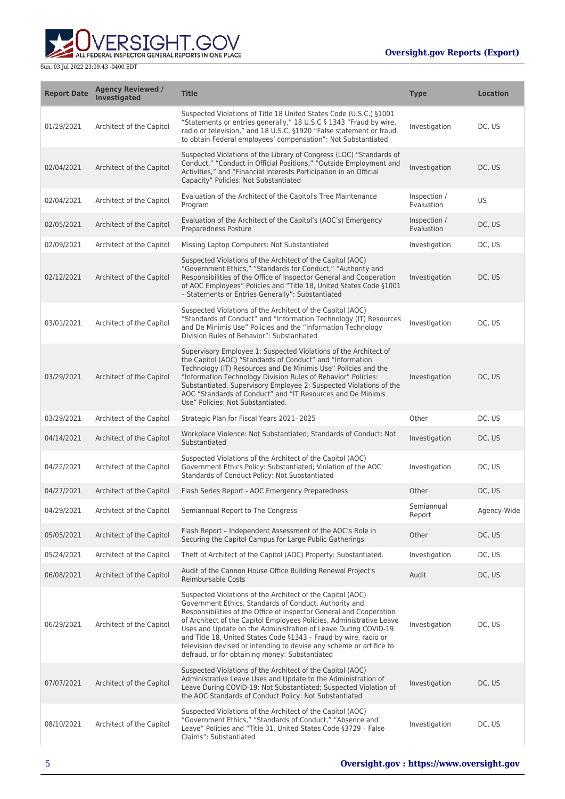

| <b>Report Date</b> | <b>Agency Reviewed /</b><br>Investigated | <b>Title</b>                                                                                                                                                                                                                                                                                                                                                                                                                                                                                                                       | <b>Type</b>                | <b>Location</b> |
|--------------------|------------------------------------------|------------------------------------------------------------------------------------------------------------------------------------------------------------------------------------------------------------------------------------------------------------------------------------------------------------------------------------------------------------------------------------------------------------------------------------------------------------------------------------------------------------------------------------|----------------------------|-----------------|
| 01/29/2021         | Architect of the Capitol                 | Suspected Violations of Title 18 United States Code (U.S.C.) §1001<br>"Statements or entries generally," 18 U.S.C § 1343 "Fraud by wire,<br>radio or television," and 18 U.S.C. §1920 "False statement or fraud<br>to obtain Federal employees' compensation": Not Substantiated                                                                                                                                                                                                                                                   | Investigation              | DC, US          |
| 02/04/2021         | Architect of the Capitol                 | Suspected Violations of the Library of Congress (LOC) "Standards of<br>Conduct," "Conduct in Official Positions," "Outside Employment and<br>Activities," and "Financial Interests Participation in an Official<br>Capacity" Policies: Not Substantiated                                                                                                                                                                                                                                                                           | Investigation              | DC, US          |
| 02/04/2021         | Architect of the Capitol                 | Evaluation of the Architect of the Capitol's Tree Maintenance<br>Program                                                                                                                                                                                                                                                                                                                                                                                                                                                           | Inspection /<br>Evaluation | <b>US</b>       |
| 02/05/2021         | Architect of the Capitol                 | Evaluation of the Architect of the Capitol's (AOC's) Emergency<br>Preparedness Posture                                                                                                                                                                                                                                                                                                                                                                                                                                             | Inspection /<br>Evaluation | DC, US          |
| 02/09/2021         | Architect of the Capitol                 | Missing Laptop Computers: Not Substantiated                                                                                                                                                                                                                                                                                                                                                                                                                                                                                        | Investigation              | DC, US          |
| 02/12/2021         | Architect of the Capitol                 | Suspected Violations of the Architect of the Capitol (AOC)<br>"Government Ethics," "Standards for Conduct," "Authority and<br>Responsibilities of the Office of Inspector General and Cooperation<br>of AOC Employees" Policies and "Title 18, United States Code §1001<br>- Statements or Entries Generally": Substantiated                                                                                                                                                                                                       | Investigation              | DC, US          |
| 03/01/2021         | Architect of the Capitol                 | Suspected Violations of the Architect of the Capitol (AOC)<br>"Standards of Conduct" and "Information Technology (IT) Resources<br>and De Minimis Use" Policies and the "Information Technology<br>Division Rules of Behavior": Substantiated                                                                                                                                                                                                                                                                                      | Investigation              | DC, US          |
| 03/29/2021         | Architect of the Capitol                 | Supervisory Employee 1: Suspected Violations of the Architect of<br>the Capitol (AOC) "Standards of Conduct" and "Information<br>Technology (IT) Resources and De Minimis Use" Policies and the<br>"Information Technology Division Rules of Behavior" Policies:<br>Substantiated. Supervisory Employee 2: Suspected Violations of the<br>AOC "Standards of Conduct" and "IT Resources and De Minimis<br>Use" Policies: Not Substantiated.                                                                                         | Investigation              | DC, US          |
| 03/29/2021         | Architect of the Capitol                 | Strategic Plan for Fiscal Years 2021-2025                                                                                                                                                                                                                                                                                                                                                                                                                                                                                          | Other                      | DC, US          |
| 04/14/2021         | Architect of the Capitol                 | Workplace Violence: Not Substantiated; Standards of Conduct: Not<br>Substantiated                                                                                                                                                                                                                                                                                                                                                                                                                                                  | Investigation              | DC, US          |
| 04/22/2021         | Architect of the Capitol                 | Suspected Violations of the Architect of the Capitol (AOC)<br>Government Ethics Policy: Substantiated; Violation of the AOC<br>Standards of Conduct Policy: Not Substantiated                                                                                                                                                                                                                                                                                                                                                      | Investigation              | DC, US          |
| 04/27/2021         | Architect of the Capitol                 | Flash Series Report - AOC Emergency Preparedness                                                                                                                                                                                                                                                                                                                                                                                                                                                                                   | Other                      | DC, US          |
| 04/29/2021         | Architect of the Capitol                 | Semiannual Report to The Congress                                                                                                                                                                                                                                                                                                                                                                                                                                                                                                  | Semiannual<br>Report       | Agency-Wide     |
| 05/05/2021         | Architect of the Capitol                 | Flash Report - Independent Assessment of the AOC's Role in<br>Securing the Capitol Campus for Large Public Gatherings                                                                                                                                                                                                                                                                                                                                                                                                              | Other                      | DC, US          |
| 05/24/2021         | Architect of the Capitol                 | Theft of Architect of the Capitol (AOC) Property: Substantiated.                                                                                                                                                                                                                                                                                                                                                                                                                                                                   | Investigation              | DC, US          |
| 06/08/2021         | Architect of the Capitol                 | Audit of the Cannon House Office Building Renewal Project's<br>Reimbursable Costs                                                                                                                                                                                                                                                                                                                                                                                                                                                  | Audit                      | DC, US          |
| 06/29/2021         | Architect of the Capitol                 | Suspected Violations of the Architect of the Capitol (AOC)<br>Government Ethics, Standards of Conduct, Authority and<br>Responsibilities of the Office of Inspector General and Cooperation<br>of Architect of the Capitol Employees Policies, Administrative Leave<br>Uses and Update on the Administration of Leave During COVID-19<br>and Title 18, United States Code §1343 - Fraud by wire, radio or<br>television devised or intending to devise any scheme or artifice to<br>defraud, or for obtaining money: Substantiated | Investigation              | DC, US          |
| 07/07/2021         | Architect of the Capitol                 | Suspected Violations of the Architect of the Capitol (AOC)<br>Administrative Leave Uses and Update to the Administration of<br>Leave During COVID-19: Not Substantiated; Suspected Violation of<br>the AOC Standards of Conduct Policy: Not Substantiated                                                                                                                                                                                                                                                                          | Investigation              | DC, US          |
| 08/10/2021         | Architect of the Capitol                 | Suspected Violations of the Architect of the Capitol (AOC)<br>"Government Ethics," "Standards of Conduct," "Absence and<br>Leave" Policies and "Title 31, United States Code §3729 - False<br>Claims": Substantiated                                                                                                                                                                                                                                                                                                               | Investigation              | DC, US          |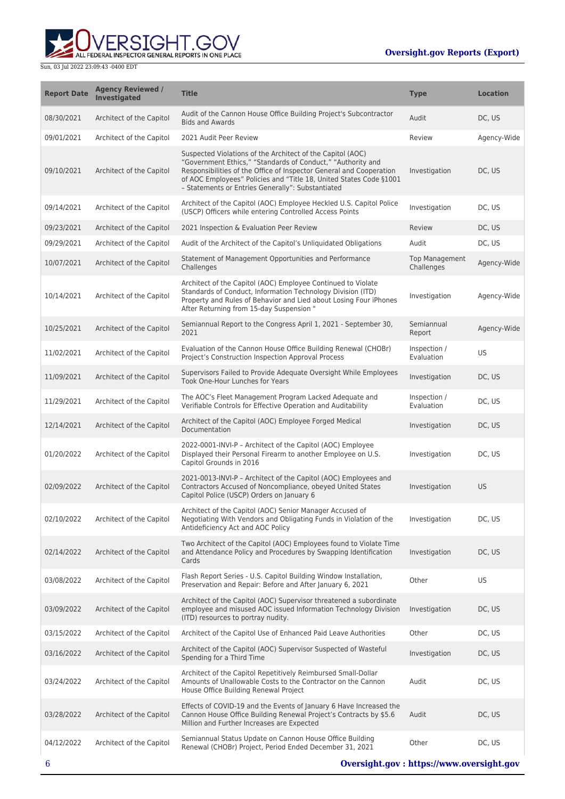

| <b>Report Date</b> | <b>Agency Reviewed /</b><br>Investigated | <b>Title</b>                                                                                                                                                                                                                                                                                                                | <b>Type</b>                         | <b>Location</b> |
|--------------------|------------------------------------------|-----------------------------------------------------------------------------------------------------------------------------------------------------------------------------------------------------------------------------------------------------------------------------------------------------------------------------|-------------------------------------|-----------------|
| 08/30/2021         | Architect of the Capitol                 | Audit of the Cannon House Office Building Project's Subcontractor<br><b>Bids and Awards</b>                                                                                                                                                                                                                                 | Audit                               | DC, US          |
| 09/01/2021         | Architect of the Capitol                 | 2021 Audit Peer Review                                                                                                                                                                                                                                                                                                      | Review                              | Agency-Wide     |
| 09/10/2021         | Architect of the Capitol                 | Suspected Violations of the Architect of the Capitol (AOC)<br>"Government Ethics," "Standards of Conduct," "Authority and<br>Responsibilities of the Office of Inspector General and Cooperation<br>of AOC Employees" Policies and "Title 18, United States Code §1001<br>- Statements or Entries Generally": Substantiated | Investigation                       | DC, US          |
| 09/14/2021         | Architect of the Capitol                 | Architect of the Capitol (AOC) Employee Heckled U.S. Capitol Police<br>(USCP) Officers while entering Controlled Access Points                                                                                                                                                                                              | Investigation                       | DC, US          |
| 09/23/2021         | Architect of the Capitol                 | 2021 Inspection & Evaluation Peer Review                                                                                                                                                                                                                                                                                    | Review                              | DC, US          |
| 09/29/2021         | Architect of the Capitol                 | Audit of the Architect of the Capitol's Unliquidated Obligations                                                                                                                                                                                                                                                            | Audit                               | DC, US          |
| 10/07/2021         | Architect of the Capitol                 | Statement of Management Opportunities and Performance<br>Challenges                                                                                                                                                                                                                                                         | <b>Top Management</b><br>Challenges | Agency-Wide     |
| 10/14/2021         | Architect of the Capitol                 | Architect of the Capitol (AOC) Employee Continued to Violate<br>Standards of Conduct, Information Technology Division (ITD)<br>Property and Rules of Behavior and Lied about Losing Four iPhones<br>After Returning from 15-day Suspension "                                                                                | Investigation                       | Agency-Wide     |
| 10/25/2021         | Architect of the Capitol                 | Semiannual Report to the Congress April 1, 2021 - September 30,<br>2021                                                                                                                                                                                                                                                     | Semiannual<br>Report                | Agency-Wide     |
| 11/02/2021         | Architect of the Capitol                 | Evaluation of the Cannon House Office Building Renewal (CHOBr)<br>Project's Construction Inspection Approval Process                                                                                                                                                                                                        | Inspection /<br>Evaluation          | US              |
| 11/09/2021         | Architect of the Capitol                 | Supervisors Failed to Provide Adequate Oversight While Employees<br>Took One-Hour Lunches for Years                                                                                                                                                                                                                         | Investigation                       | DC, US          |
| 11/29/2021         | Architect of the Capitol                 | The AOC's Fleet Management Program Lacked Adequate and<br>Verifiable Controls for Effective Operation and Auditability                                                                                                                                                                                                      | Inspection /<br>Evaluation          | DC, US          |
| 12/14/2021         | Architect of the Capitol                 | Architect of the Capitol (AOC) Employee Forged Medical<br>Documentation                                                                                                                                                                                                                                                     | Investigation                       | DC, US          |
| 01/20/2022         | Architect of the Capitol                 | 2022-0001-INVI-P - Architect of the Capitol (AOC) Employee<br>Displayed their Personal Firearm to another Employee on U.S.<br>Capitol Grounds in 2016                                                                                                                                                                       | Investigation                       | DC, US          |
| 02/09/2022         | Architect of the Capitol                 | 2021-0013-INVI-P - Architect of the Capitol (AOC) Employees and<br>Contractors Accused of Noncompliance, obeyed United States<br>Capitol Police (USCP) Orders on January 6                                                                                                                                                  | Investigation                       | <b>US</b>       |
| 02/10/2022         | Architect of the Capitol                 | Architect of the Capitol (AOC) Senior Manager Accused of<br>Negotiating With Vendors and Obligating Funds in Violation of the<br>Antideficiency Act and AOC Policy                                                                                                                                                          | Investigation                       | DC, US          |
| 02/14/2022         | Architect of the Capitol                 | Two Architect of the Capitol (AOC) Employees found to Violate Time<br>and Attendance Policy and Procedures by Swapping Identification<br>Cards                                                                                                                                                                              | Investigation                       | DC, US          |
| 03/08/2022         | Architect of the Capitol                 | Flash Report Series - U.S. Capitol Building Window Installation,<br>Preservation and Repair: Before and After January 6, 2021                                                                                                                                                                                               | Other                               | US              |
| 03/09/2022         | Architect of the Capitol                 | Architect of the Capitol (AOC) Supervisor threatened a subordinate<br>employee and misused AOC issued Information Technology Division<br>(ITD) resources to portray nudity.                                                                                                                                                 | Investigation                       | DC, US          |
| 03/15/2022         | Architect of the Capitol                 | Architect of the Capitol Use of Enhanced Paid Leave Authorities                                                                                                                                                                                                                                                             | Other                               | DC, US          |
| 03/16/2022         | Architect of the Capitol                 | Architect of the Capitol (AOC) Supervisor Suspected of Wasteful<br>Spending for a Third Time                                                                                                                                                                                                                                | Investigation                       | DC, US          |
| 03/24/2022         | Architect of the Capitol                 | Architect of the Capitol Repetitively Reimbursed Small-Dollar<br>Amounts of Unallowable Costs to the Contractor on the Cannon<br>House Office Building Renewal Project                                                                                                                                                      | Audit                               | DC, US          |
| 03/28/2022         | Architect of the Capitol                 | Effects of COVID-19 and the Events of January 6 Have Increased the<br>Cannon House Office Building Renewal Project's Contracts by \$5.6<br>Million and Further Increases are Expected                                                                                                                                       | Audit                               | DC, US          |
| 04/12/2022         | Architect of the Capitol                 | Semiannual Status Update on Cannon House Office Building<br>Renewal (CHOBr) Project, Period Ended December 31, 2021                                                                                                                                                                                                         | Other                               | DC, US          |